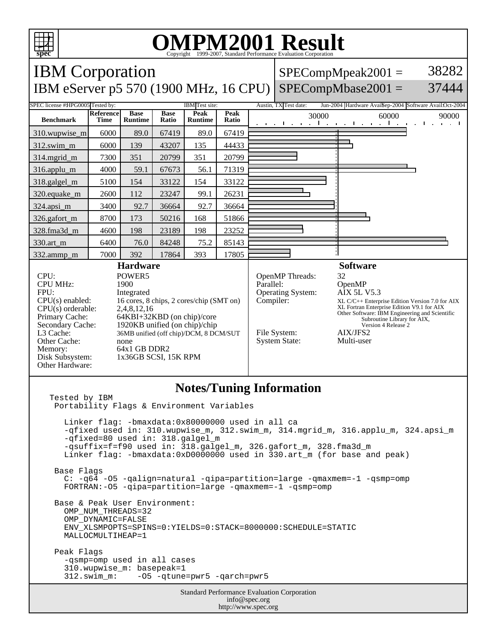

## **OMPM2001 Result** Copyright 1999-2007, Standard Performance Evaluation Corporation

Standard Performance Evaluation Corporation info@spec.org http://www.spec.org IBM Corporation IBM eServer p5 570 (1900 MHz, 16 CPU) SPECompMbase2001 =  $SPECompMpeak2001 =$ 38282 37444 SPEC license #HPG0005 Tested by: IBM Test site: Austin, TX Test date: Jun-2004 Hardware Avail: Sep-2004 Software Avail:Oct-2004 **Benchmark Reference Time Base Runtime Base Ratio Peak Runtime Peak Peak** 30000 60000 90000<br>**Ratio** 30000 60000 90000 310.wupwise\_m 6000 89.0 67419 89.0 67419 312.swim\_m 6000 139 43207 135 44433 314.mgrid\_m 7300 351 20799 351 20799 316.applu\_m | 4000 | 59.1 | 67673 | 56.1 | 71319 318.galgel\_m | 5100 | 154 | 33122 | 154 | 33122 320.equake\_m | 2600 | 112 | 23247 | 99.1 | 26231 324.apsi\_m 3400 92.7 36664 92.7 36664 326.gafort\_m | 8700 | 173 | 50216 | 168 | 51866 328.fma3d\_m 4600 198 23189 198 23252 330.art\_m 6400 76.0 84248 75.2 85143 332.ammp\_m 7000 392 17864 393 17805 **Hardware** CPU: POWER5<br>
CPU MHz: 1900 CPU MHz: FPU: Integrated  $CPU(s)$  enabled: 16 cores, 8 chips, 2 cores/chip (SMT on)<br>CPU(s) orderable: 2,4,8,12,16 CPU(s) orderable:<br>Primary Cache: Primary Cache: 64KBI+32KBD (on chip)/core<br>Secondary Cache: 1920KB unified (on chip)/chip 1920KB unified (on chip)/chip L3 Cache: 36MB unified (off chip)/DCM, 8 DCM/SUT Other Cache: none Memory: 64x1 GB DDR2<br>Disk Subsystem: 1x36GB SCSI, 1 1x36GB SCSI, 15K RPM Other Hardware: **Software** OpenMP Threads: 32<br>Parallel: Op OpenMP<br>AIX 5L V5.3 Operating System: Compiler: XL C/C++ Enterprise Edition Version 7.0 for AIX XL Fortran Enterprise Edition V9.1 for AIX Other Software: IBM Engineering and Scientific Subroutine Library for AIX, Version 4 Release 2 File System: <br>System State: Multi-user System State: **Notes/Tuning Information** Tested by IBM Portability Flags & Environment Variables Linker flag: -bmaxdata:0x80000000 used in all ca -qfixed used in: 310.wupwise\_m, 312.swim\_m, 314.mgrid\_m, 316.applu\_m, 324.apsi\_m -qfixed=80 used in: 318.galgel\_m -qsuffix=f=f90 used in: 318.galgel\_m, 326.gafort\_m, 328.fma3d\_m Linker flag: -bmaxdata:0xD0000000 used in 330.art\_m (for base and peak) Base Flags C: -q64 -O5 -qalign=natural -qipa=partition=large -qmaxmem=-1 -qsmp=omp FORTRAN:-O5 -qipa=partition=large -qmaxmem=-1 -qsmp=omp Base & Peak User Environment: OMP\_NUM\_THREADS=32 OMP\_DYNAMIC=FALSE ENV\_XLSMPOPTS=SPINS=0:YIELDS=0:STACK=8000000:SCHEDULE=STATIC MALLOCMULTIHEAP=1 Peak Flags -qsmp=omp used in all cases 310.wupwise\_m: basepeak=1 312.swim\_m: -O5 -qtune=pwr5 -qarch=pwr5